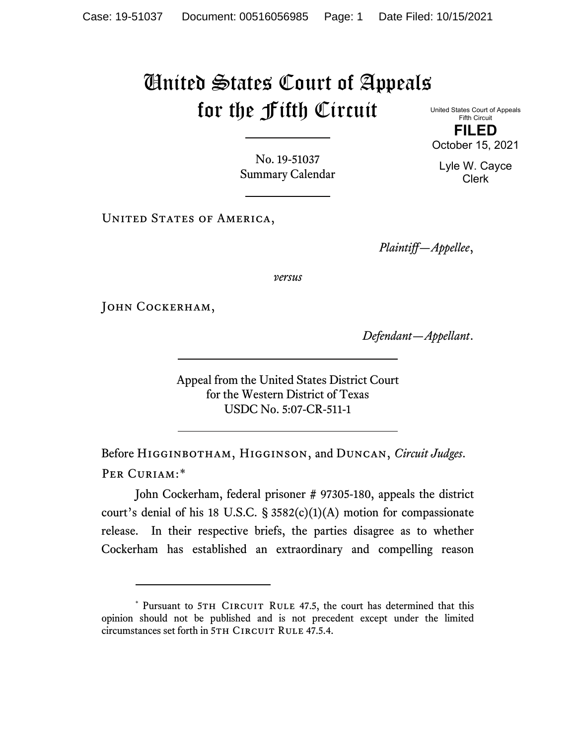## United States Court of Appeals for the Fifth Circuit

United States Court of Appeals Fifth Circuit **FILED** October 15, 2021

No. 19-51037 Summary Calendar

UNITED STATES OF AMERICA,

*Plaintiff—Appellee*,

*versus*

JOHN COCKERHAM,

*Defendant—Appellant*.

Appeal from the United States District Court for the Western District of Texas USDC No. 5:07-CR-511-1

Before Higginbotham, Higginson, and Duncan, *Circuit Judges*. Per Curiam:[\\*](#page-0-0)

John Cockerham, federal prisoner # 97305-180, appeals the district court's denial of his 18 U.S.C.  $\S$  3582(c)(1)(A) motion for compassionate release. In their respective briefs, the parties disagree as to whether Cockerham has established an extraordinary and compelling reason

Lyle W. Cayce Clerk

<span id="page-0-0"></span><sup>\*</sup> Pursuant to 5TH CIRCUIT RULE 47.5, the court has determined that this opinion should not be published and is not precedent except under the limited circumstances set forth in 5TH CIRCUIT RULE 47.5.4.